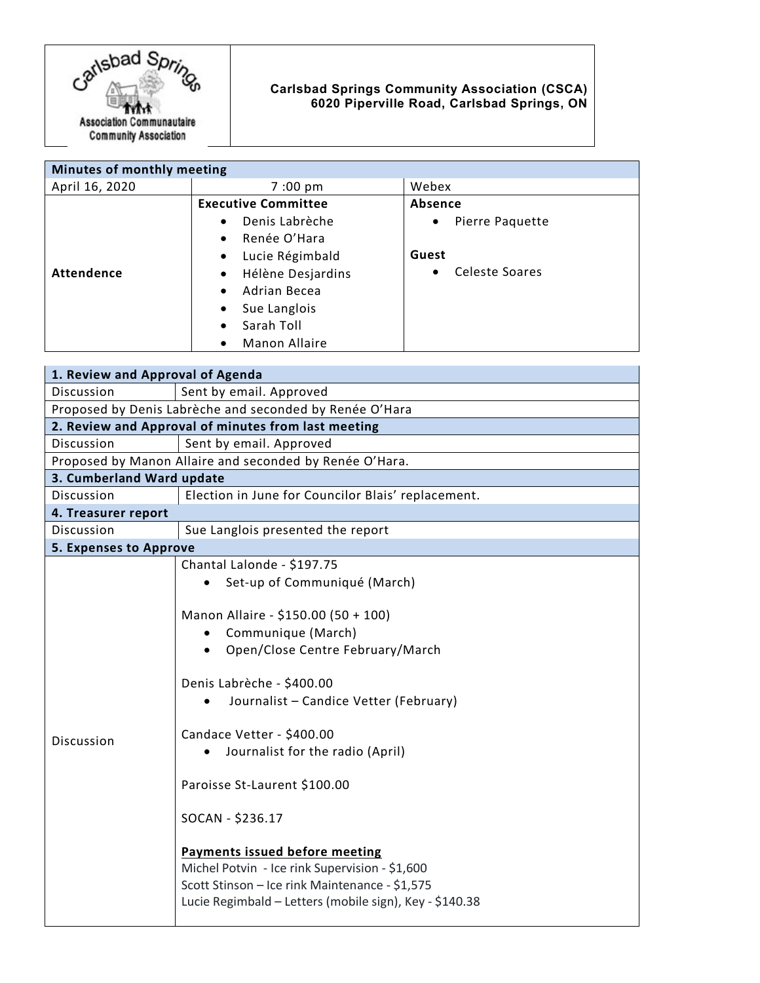

## **Carlsbad Springs Community Association (CSCA) 6020 Piperville Road, Carlsbad Springs, ON**

| Minutes of monthly meeting |                                   |                                    |
|----------------------------|-----------------------------------|------------------------------------|
| April 16, 2020             | $7:00 \text{ pm}$                 | Webex                              |
|                            | <b>Executive Committee</b>        | Absence                            |
|                            | Denis Labrèche<br>$\bullet$       | Pierre Paquette<br>$\bullet$       |
|                            | Renée O'Hara<br>$\bullet$         |                                    |
|                            | Lucie Régimbald<br>$\bullet$      | Guest                              |
| Attendence                 | Hélène Desjardins<br>$\bullet$    | <b>Celeste Soares</b><br>$\bullet$ |
|                            | Adrian Becea<br>$\bullet$         |                                    |
|                            | Sue Langlois<br>$\bullet$         |                                    |
|                            | Sarah Toll<br>$\bullet$           |                                    |
|                            | <b>Manon Allaire</b><br>$\bullet$ |                                    |

| 1. Review and Approval of Agenda                        |                                                         |  |  |
|---------------------------------------------------------|---------------------------------------------------------|--|--|
| Discussion                                              | Sent by email. Approved                                 |  |  |
| Proposed by Denis Labrèche and seconded by Renée O'Hara |                                                         |  |  |
| 2. Review and Approval of minutes from last meeting     |                                                         |  |  |
| Discussion                                              | Sent by email. Approved                                 |  |  |
| Proposed by Manon Allaire and seconded by Renée O'Hara. |                                                         |  |  |
| 3. Cumberland Ward update                               |                                                         |  |  |
| Discussion                                              | Election in June for Councilor Blais' replacement.      |  |  |
| 4. Treasurer report                                     |                                                         |  |  |
| Discussion                                              | Sue Langlois presented the report                       |  |  |
| <b>5. Expenses to Approve</b>                           |                                                         |  |  |
| <b>Discussion</b>                                       | Chantal Lalonde - \$197.75                              |  |  |
|                                                         | Set-up of Communiqué (March)                            |  |  |
|                                                         |                                                         |  |  |
|                                                         | Manon Allaire - \$150.00 (50 + 100)                     |  |  |
|                                                         | Communique (March)<br>$\bullet$                         |  |  |
|                                                         | Open/Close Centre February/March                        |  |  |
|                                                         | Denis Labrèche - \$400.00                               |  |  |
|                                                         | Journalist - Candice Vetter (February)                  |  |  |
|                                                         |                                                         |  |  |
|                                                         | Candace Vetter - \$400.00                               |  |  |
|                                                         | Journalist for the radio (April)                        |  |  |
|                                                         |                                                         |  |  |
|                                                         | Paroisse St-Laurent \$100.00                            |  |  |
|                                                         | SOCAN - \$236.17                                        |  |  |
|                                                         |                                                         |  |  |
|                                                         | <b>Payments issued before meeting</b>                   |  |  |
|                                                         | Michel Potvin - Ice rink Supervision - \$1,600          |  |  |
|                                                         | Scott Stinson - Ice rink Maintenance - \$1,575          |  |  |
|                                                         | Lucie Regimbald - Letters (mobile sign), Key - \$140.38 |  |  |
|                                                         |                                                         |  |  |